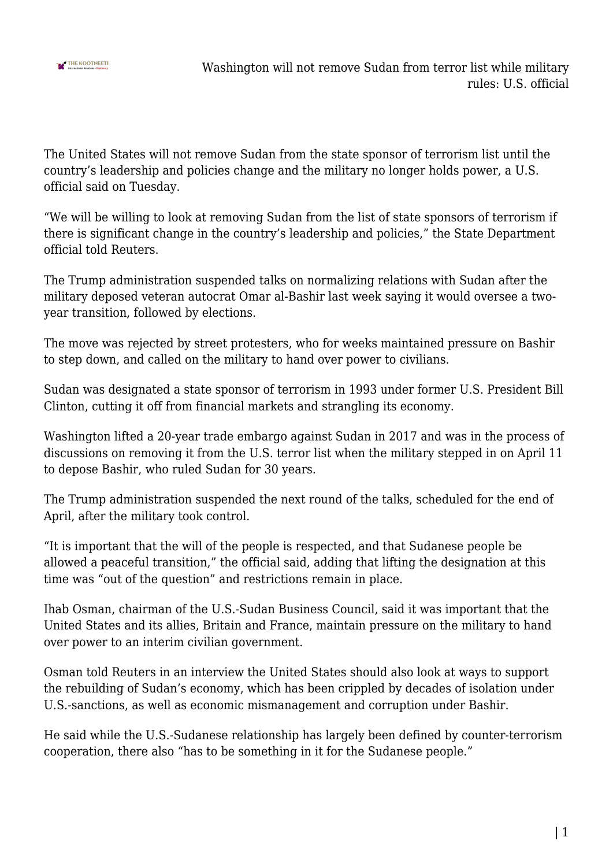

The United States will not remove Sudan from the state sponsor of terrorism list until the country's leadership and policies change and the military no longer holds power, a U.S. official said on Tuesday.

"We will be willing to look at removing Sudan from the list of state sponsors of terrorism if there is significant change in the country's leadership and policies," the State Department official told Reuters.

The Trump administration suspended talks on normalizing relations with Sudan after the military deposed veteran autocrat Omar al-Bashir last week saying it would oversee a twoyear transition, followed by elections.

The move was rejected by street protesters, who for weeks maintained pressure on Bashir to step down, and called on the military to hand over power to civilians.

Sudan was designated a state sponsor of terrorism in 1993 under former U.S. President Bill Clinton, cutting it off from financial markets and strangling its economy.

Washington lifted a 20-year trade embargo against Sudan in 2017 and was in the process of discussions on removing it from the U.S. terror list when the military stepped in on April 11 to depose Bashir, who ruled Sudan for 30 years.

The Trump administration suspended the next round of the talks, scheduled for the end of April, after the military took control.

"It is important that the will of the people is respected, and that Sudanese people be allowed a peaceful transition," the official said, adding that lifting the designation at this time was "out of the question" and restrictions remain in place.

Ihab Osman, chairman of the U.S.-Sudan Business Council, said it was important that the United States and its allies, Britain and France, maintain pressure on the military to hand over power to an interim civilian government.

Osman told Reuters in an interview the United States should also look at ways to support the rebuilding of Sudan's economy, which has been crippled by decades of isolation under U.S.-sanctions, as well as economic mismanagement and corruption under Bashir.

He said while the U.S.-Sudanese relationship has largely been defined by counter-terrorism cooperation, there also "has to be something in it for the Sudanese people."